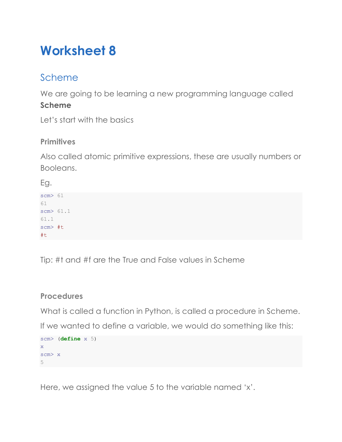# **Worksheet 8**

# Scheme

We are going to be learning a new programming language called **Scheme**

Let's start with the basics

# **Primitives**

Also called atomic primitive expressions, these are usually numbers or Booleans.

Eg.

scm> 61 61 scm> 61.1 61.1 scm> #t #t

Tip: #t and #f are the True and False values in Scheme

# **Procedures**

What is called a function in Python, is called a procedure in Scheme.

If we wanted to define a variable, we would do something like this:

```
scm> (define x 5)
x
scm> x
5
```
Here, we assigned the value 5 to the variable named 'x'.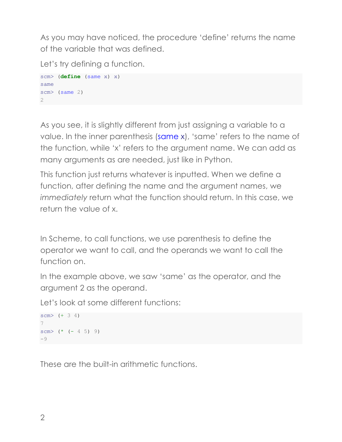As you may have noticed, the procedure 'define' returns the name of the variable that was defined.

Let's try defining a function.

```
scm> (define (same x) x)
same
scm> (same 2)
2
```
As you see, it is slightly different from just assigning a variable to a value. In the inner parenthesis (same x), 'same' refers to the name of the function, while 'x' refers to the argument name. We can add as many arguments as are needed, just like in Python.

This function just returns whatever is inputted. When we define a function, after defining the name and the argument names, we *immediately* return what the function should return. In this case, we return the value of x.

In Scheme, to call functions, we use parenthesis to define the operator we want to call, and the operands we want to call the function on.

In the example above, we saw 'same' as the operator, and the argument 2 as the operand.

Let's look at some different functions:

```
scm> (+ 3 4)7
scm> (* (-45) 9)
-9
```
These are the built-in arithmetic functions.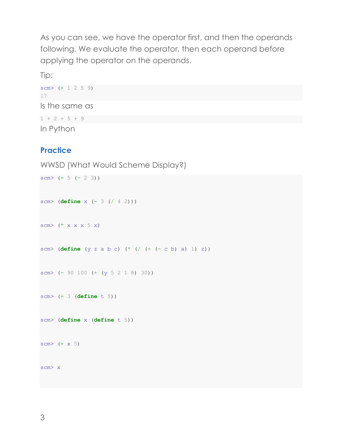As you can see, we have the operator first, and then the operands following. We evaluate the operator, then each operand before applying the operator on the operands.

Tip:

```
scm> (+ 1 2 5 9)
17
Is the same as 
1 + 2 + 5 + 9In Python
```
## **Practice**

```
WWSD (What Would Scheme Display?)
```

```
scm> (+ 5 (- 2 3))scm> (define x (- 3 (/ 4 2)))
scm> (* x x x 5 x)scm> (define (y z a b c) (* (/ (+ (- c b) a) 1) z))
scm> (- 90 100 (+ (y 5 2 1 8) 30))
scm> (+ 3 (define t 5))
scm> (define x (define t 5))
scm> (+ x 5)scm> x
```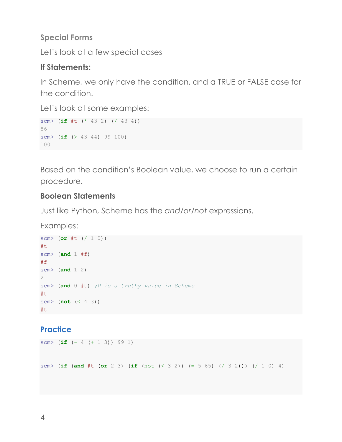#### **Special Forms**

Let's look at a few special cases

#### **If Statements:**

In Scheme, we only have the condition, and a TRUE or FALSE case for the condition.

Let's look at some examples:

```
scm> (if #t (* 43 2) (/ 43 4))
86
scm> (if (> 43 44) 99 100)
100
```
Based on the condition's Boolean value, we choose to run a certain procedure.

#### **Boolean Statements**

Just like Python, Scheme has the *and*/*or/not* expressions.

Examples:

```
scm> (or #t (/ 1 0))
#t
scm> (and 1 #f)
#f
scm> (and 1 2)
2
scm> (and 0 #t) ;0 is a truthy value in Scheme
#t
scm> (not (< 4 3))
#t
```
#### **Practice**

```
scm> (if (- 4 (+ 1 3)) 99 1)
scm> (if (and #t (or 2 3) (if (not (< 3 2)) (= 5 65) (/ 3 2))) (/ 1 0) 4)
```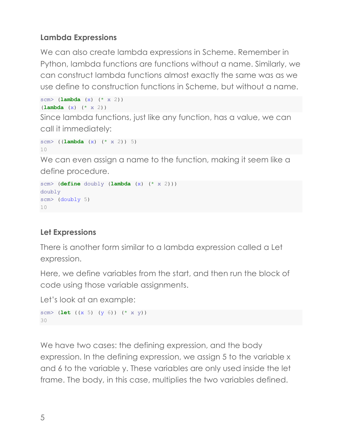## **Lambda Expressions**

We can also create lambda expressions in Scheme. Remember in Python, lambda functions are functions without a name. Similarly, we can construct lambda functions almost exactly the same was as we use define to construction functions in Scheme, but without a name.

```
scm> (lambda (x) (* x 2))
(lambda (x) (* x 2))
```
Since lambda functions, just like any function, has a value, we can call it immediately:

```
scm> ((lambda (x) (* x 2)) 5)
10
```
We can even assign a name to the function, making it seem like a define procedure.

```
scm> (define doubly (lambda (x) (* x 2)))
doubly
scm> (doubly 5)
10
```
# **Let Expressions**

There is another form similar to a lambda expression called a Let expression.

Here, we define variables from the start, and then run the block of code using those variable assignments.

Let's look at an example:

```
scm> (let ((x 5) (y 6)) (* x y))
30
```
We have two cases: the defining expression, and the body expression. In the defining expression, we assign 5 to the variable x and 6 to the variable y. These variables are only used inside the let frame. The body, in this case, multiplies the two variables defined.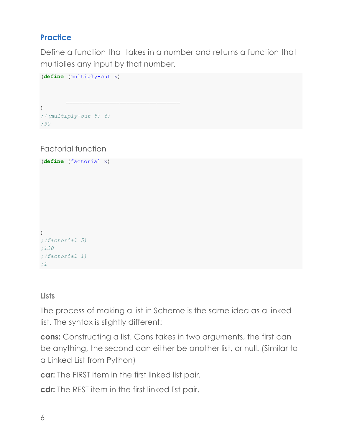# **Practice**

Define a function that takes in a number and returns a function that multiplies any input by that number.

```
(define (multiply-out x) 
       \mathcal{L}_\text{max})
;((multiply-out 5) 6)
;30
```
Factorial function

```
(define (factorial x) 
)
;(factorial 5)
;120
;(factorial 1)
;1
```
#### **Lists**

The process of making a list in Scheme is the same idea as a linked list. The syntax is slightly different:

**cons:** Constructing a list. Cons takes in two arguments, the first can be anything, the second can either be another list, or null. (Similar to a Linked List from Python)

**car:** The FIRST item in the first linked list pair.

**cdr:** The REST item in the first linked list pair.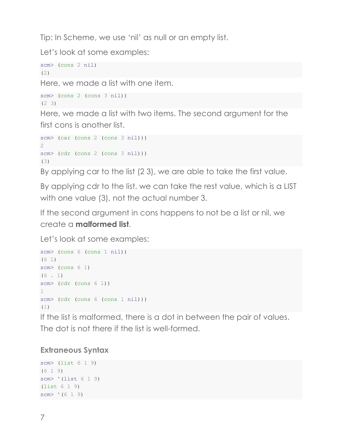Tip: In Scheme, we use 'nil' as null or an empty list.

Let's look at some examples:

```
scm> (cons 2 nil)
(2)
```
Here, we made a list with one item.

```
scm> (cons 2 (cons 3 nil))
(2 3)
```
Here, we made a list with two items. The second argument for the first cons is another list.

```
scm> (car (cons 2 (cons 3 nil)))
2
scm> (cdr (cons 2 (cons 3 nil)))
(3)
```
By applying car to the list (2 3), we are able to take the first value.

By applying cdr to the list, we can take the rest value, which is a LIST with one value (3), not the actual number 3.

If the second argument in cons happens to not be a list or nil, we create a **malformed list**.

Let's look at some examples:

```
scm> (cons 6 (cons 1 nil))
(6 1)
scm> (cons 6 1)
(6 \t1)scm> (cdr (cons 6 1))
1
scm> (cdr (cons 6 (cons 1 nil)))
(1)
```
If the list is malformed, there is a dot in between the pair of values. The dot is not there if the list is well-formed.

# **Extraneous Syntax**

```
scm> (list 6 1 9)
(619)scm> '(list 6 1 9)
(list 6 1 9)
scm> '(6 1 9)
```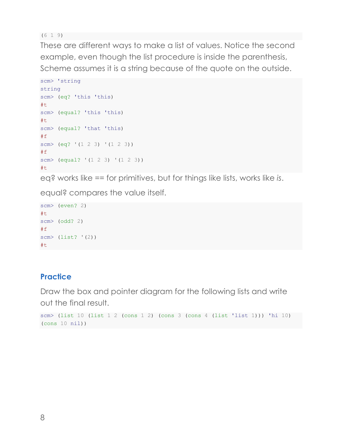(6 1 9)

These are different ways to make a list of values. Notice the second example, even though the list procedure is inside the parenthesis, Scheme assumes it is a string because of the quote on the outside.

```
scm> 'string
string
scm> (eq? 'this 'this)
#t
scm> (equal? 'this 'this)
#t
scm> (equal? 'that 'this)
#f
scm> (eq? '(1 2 3) '(1 2 3))
#fscm> (equal? '(1 2 3) '(1 2 3))
#t
```
eq? works like *==* for primitives, but for things like lists, works like *is*.

equal? compares the value itself.

```
scm> (even? 2)
#t
scm> (odd? 2)
#f
scm> (list? '(2))
#t
```
# **Practice**

Draw the box and pointer diagram for the following lists and write out the final result.

```
scm> (list 10 (list 1 2 (cons 1 2) (cons 3 (cons 4 (list 'list 1))) 'hi 10) 
(cons 10 nil))
```